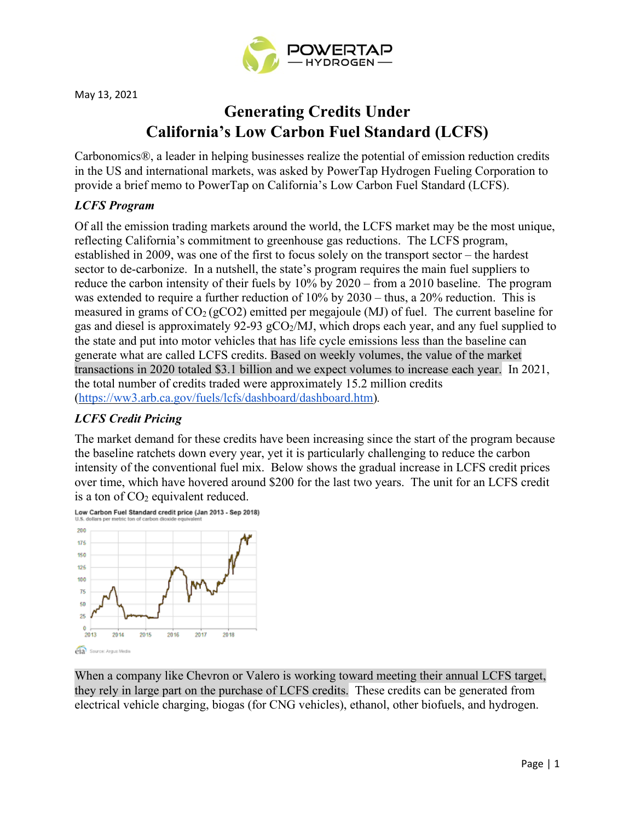

# **Generating Credits Under California's Low Carbon Fuel Standard (LCFS)**

Carbonomics®, a leader in helping businesses realize the potential of emission reduction credits in the US and international markets, was asked by PowerTap Hydrogen Fueling Corporation to provide a brief memo to PowerTap on California's Low Carbon Fuel Standard (LCFS).

## *LCFS Program*

Of all the emission trading markets around the world, the LCFS market may be the most unique, reflecting California's commitment to greenhouse gas reductions. The LCFS program, established in 2009, was one of the first to focus solely on the transport sector – the hardest sector to de-carbonize. In a nutshell, the state's program requires the main fuel suppliers to reduce the carbon intensity of their fuels by 10% by 2020 – from a 2010 baseline. The program was extended to require a further reduction of 10% by 2030 – thus, a 20% reduction. This is measured in grams of  $CO<sub>2</sub>(gCO<sub>2</sub>)$  emitted per megajoule (MJ) of fuel. The current baseline for gas and diesel is approximately 92-93  $gCO<sub>2</sub>/MJ$ , which drops each year, and any fuel supplied to the state and put into motor vehicles that has life cycle emissions less than the baseline can generate what are called LCFS credits. Based on weekly volumes, the value of the market transactions in 2020 totaled \$3.1 billion and we expect volumes to increase each year. In 2021, the total number of credits traded were approximately 15.2 million credits [\(https://ww3.arb.ca.gov/fuels/lcfs/dashboard/dashboard.htm\)](https://ww3.arb.ca.gov/fuels/lcfs/dashboard/dashboard.htm,)*.*

# *LCFS Credit Pricing*

The market demand for these credits have been increasing since the start of the program because the baseline ratchets down every year, yet it is particularly challenging to reduce the carbon intensity of the conventional fuel mix. Below shows the gradual increase in LCFS credit prices over time, which have hovered around \$200 for the last two years. The unit for an LCFS credit is a ton of CO<sub>2</sub> equivalent reduced.





When a company like Chevron or Valero is working toward meeting their annual LCFS target, they rely in large part on the purchase of LCFS credits. These credits can be generated from electrical vehicle charging, biogas (for CNG vehicles), ethanol, other biofuels, and hydrogen.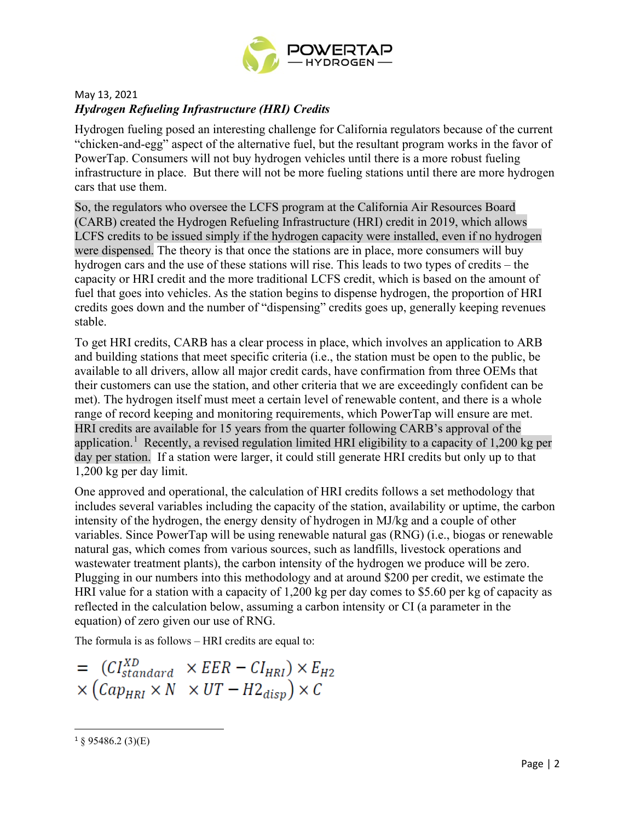

# May 13, 2021 *Hydrogen Refueling Infrastructure (HRI) Credits*

Hydrogen fueling posed an interesting challenge for California regulators because of the current "chicken-and-egg" aspect of the alternative fuel, but the resultant program works in the favor of PowerTap. Consumers will not buy hydrogen vehicles until there is a more robust fueling infrastructure in place. But there will not be more fueling stations until there are more hydrogen cars that use them.

So, the regulators who oversee the LCFS program at the California Air Resources Board (CARB) created the Hydrogen Refueling Infrastructure (HRI) credit in 2019, which allows LCFS credits to be issued simply if the hydrogen capacity were installed, even if no hydrogen were dispensed. The theory is that once the stations are in place, more consumers will buy hydrogen cars and the use of these stations will rise. This leads to two types of credits – the capacity or HRI credit and the more traditional LCFS credit, which is based on the amount of fuel that goes into vehicles. As the station begins to dispense hydrogen, the proportion of HRI credits goes down and the number of "dispensing" credits goes up, generally keeping revenues stable.

To get HRI credits, CARB has a clear process in place, which involves an application to ARB and building stations that meet specific criteria (i.e., the station must be open to the public, be available to all drivers, allow all major credit cards, have confirmation from three OEMs that their customers can use the station, and other criteria that we are exceedingly confident can be met). The hydrogen itself must meet a certain level of renewable content, and there is a whole range of record keeping and monitoring requirements, which PowerTap will ensure are met. HRI credits are available for 15 years from the quarter following CARB's approval of the application.<sup>[1](#page-1-0)</sup> Recently, a revised regulation limited HRI eligibility to a capacity of 1,200 kg per day per station. If a station were larger, it could still generate HRI credits but only up to that 1,200 kg per day limit.

One approved and operational, the calculation of HRI credits follows a set methodology that includes several variables including the capacity of the station, availability or uptime, the carbon intensity of the hydrogen, the energy density of hydrogen in MJ/kg and a couple of other variables. Since PowerTap will be using renewable natural gas (RNG) (i.e., biogas or renewable natural gas, which comes from various sources, such as landfills, livestock operations and wastewater treatment plants), the carbon intensity of the hydrogen we produce will be zero. Plugging in our numbers into this methodology and at around \$200 per credit, we estimate the HRI value for a station with a capacity of 1,200 kg per day comes to \$5.60 per kg of capacity as reflected in the calculation below, assuming a carbon intensity or CI (a parameter in the equation) of zero given our use of RNG.

The formula is as follows – HRI credits are equal to:

$$
= (CI_{standard}^{XD} \times EER - CI_{HRI}) \times E_{H2}
$$
  
 
$$
\times (Cap_{HRI} \times N \times UT - H2_{disp}) \times C
$$

<span id="page-1-0"></span> $1 \S$  95486.2 (3)(E)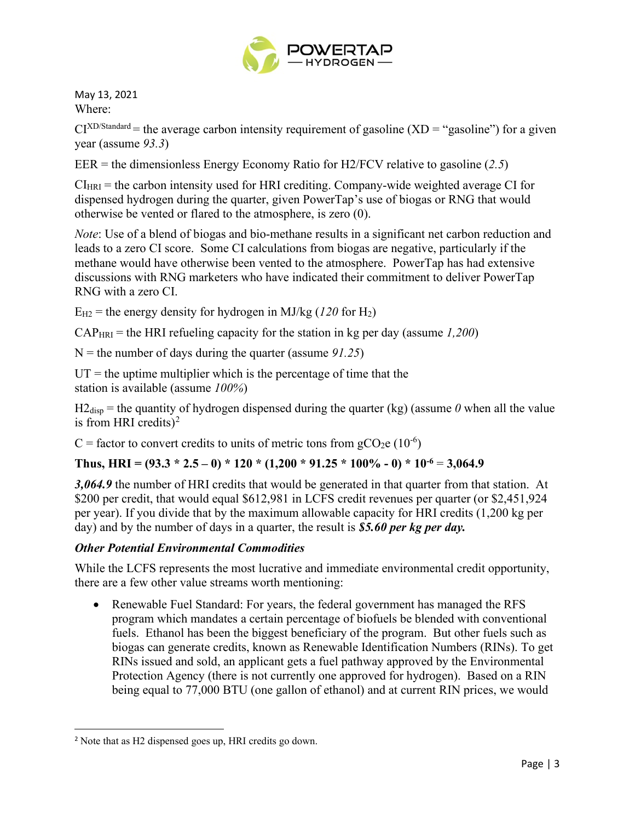

May 13, 2021 Where:

 $CI^{XD/Standard}$  = the average carbon intensity requirement of gasoline  $(XD = "gasoline")$  for a given year (assume *93.3*)

EER = the dimensionless Energy Economy Ratio for H2/FCV relative to gasoline (*2.5*)

 $CI_{HRI}$  = the carbon intensity used for HRI crediting. Company-wide weighted average CI for dispensed hydrogen during the quarter, given PowerTap's use of biogas or RNG that would otherwise be vented or flared to the atmosphere, is zero (0).

*Note*: Use of a blend of biogas and bio-methane results in a significant net carbon reduction and leads to a zero CI score. Some CI calculations from biogas are negative, particularly if the methane would have otherwise been vented to the atmosphere. PowerTap has had extensive discussions with RNG marketers who have indicated their commitment to deliver PowerTap RNG with a zero CI.

 $E_{H2}$  = the energy density for hydrogen in MJ/kg (120 for H<sub>2</sub>)

CAPHRI = the HRI refueling capacity for the station in kg per day (assume *1,200*)

N = the number of days during the quarter (assume *91.25*)

 $UT =$  the uptime multiplier which is the percentage of time that the station is available (assume *100%*)

 $H2_{\text{disp}}$  = the quantity of hydrogen dispensed during the quarter (kg) (assume  $\theta$  when all the value is from HRI credits)<sup>[2](#page-2-0)</sup>

C = factor to convert credits to units of metric tons from  $gCO_2e(10^{-6})$ 

# Thus, HRI =  $(93.3 * 2.5 - 0) * 120 * (1,200 * 91.25 * 100\% - 0) * 10^{-6} = 3,064.9$

*3,064.9* the number of HRI credits that would be generated in that quarter from that station. At \$200 per credit, that would equal \$612,981 in LCFS credit revenues per quarter (or \$2,451,924) per year). If you divide that by the maximum allowable capacity for HRI credits (1,200 kg per day) and by the number of days in a quarter, the result is *\$5.60 per kg per day.*

## *Other Potential Environmental Commodities*

While the LCFS represents the most lucrative and immediate environmental credit opportunity, there are a few other value streams worth mentioning:

• Renewable Fuel Standard: For years, the federal government has managed the RFS program which mandates a certain percentage of biofuels be blended with conventional fuels. Ethanol has been the biggest beneficiary of the program. But other fuels such as biogas can generate credits, known as Renewable Identification Numbers (RINs). To get RINs issued and sold, an applicant gets a fuel pathway approved by the Environmental Protection Agency (there is not currently one approved for hydrogen). Based on a RIN being equal to 77,000 BTU (one gallon of ethanol) and at current RIN prices, we would

<span id="page-2-0"></span><sup>2</sup> Note that as H2 dispensed goes up, HRI credits go down.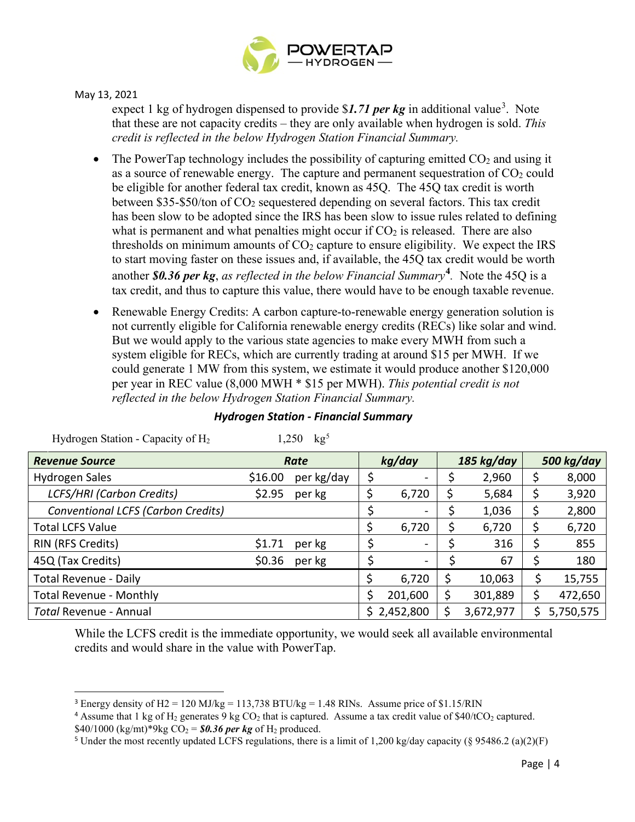

May 13, 2021

expect 1 kg of hydrogen dispensed to provide \$1.71 *per kg* in additional value<sup>[3](#page-3-0)</sup>. Note that these are not capacity credits – they are only available when hydrogen is sold. *This credit is reflected in the below Hydrogen Station Financial Summary.*

- The PowerTap technology includes the possibility of capturing emitted  $CO<sub>2</sub>$  and using it as a source of renewable energy. The capture and permanent sequestration of  $CO<sub>2</sub>$  could be eligible for another federal tax credit, known as 45Q. The 45Q tax credit is worth between \$35-\$50/ton of CO2 sequestered depending on several factors. This tax credit has been slow to be adopted since the IRS has been slow to issue rules related to defining what is permanent and what penalties might occur if  $CO<sub>2</sub>$  is released. There are also thresholds on minimum amounts of  $CO<sub>2</sub>$  capture to ensure eligibility. We expect the IRS to start moving faster on these issues and, if available, the 45Q tax credit would be worth another *\$0.36 per kg*, *as reflected in the below Financial Summary***[4](#page-3-1)** *.* Note the 45Q is a tax credit, and thus to capture this value, there would have to be enough taxable revenue.
- Renewable Energy Credits: A carbon capture-to-renewable energy generation solution is not currently eligible for California renewable energy credits (RECs) like solar and wind. But we would apply to the various state agencies to make every MWH from such a system eligible for RECs, which are currently trading at around \$15 per MWH. If we could generate 1 MW from this system, we estimate it would produce another \$120,000 per year in REC value (8,000 MWH \* \$15 per MWH). *This potential credit is not reflected in the below Hydrogen Station Financial Summary.*

| <b>Revenue Source</b>              | Rate    |            | kg/day |                          | 185 kg/day |           | 500 kg/day |           |
|------------------------------------|---------|------------|--------|--------------------------|------------|-----------|------------|-----------|
| <b>Hydrogen Sales</b>              | \$16.00 | per kg/day |        | Ξ.                       |            | 2,960     | \$         | 8,000     |
| <b>LCFS/HRI (Carbon Credits)</b>   | \$2.95  | per kg     | \$     | 6,720                    | \$         | 5,684     | \$         | 3,920     |
| Conventional LCFS (Carbon Credits) |         |            |        | -                        |            | 1,036     | \$         | 2,800     |
| <b>Total LCFS Value</b>            |         |            | \$     | 6,720                    |            | 6,720     | \$         | 6,720     |
| RIN (RFS Credits)                  | \$1.71  | per kg     |        | $\blacksquare$           |            | 316       | Ş          | 855       |
| 45Q (Tax Credits)                  | \$0.36  | per kg     |        | $\overline{\phantom{a}}$ |            | 67        | \$         | 180       |
| <b>Total Revenue - Daily</b>       |         |            | \$     | 6,720                    | \$         | 10,063    | \$         | 15,755    |
| <b>Total Revenue - Monthly</b>     |         |            | Ś      | 201,600                  | Ş          | 301,889   |            | 472,650   |
| Total Revenue - Annual             |         |            |        | \$2,452,800              |            | 3,672,977 |            | 5,750,575 |

## *Hydrogen Station - Financial Summary*

Hydrogen Station - Capacity of H<sub>2</sub> 1,2[5](#page-3-2)0 kg<sup>5</sup>

While the LCFS credit is the immediate opportunity, we would seek all available environmental credits and would share in the value with PowerTap.

<span id="page-3-0"></span><sup>&</sup>lt;sup>3</sup> Energy density of H2 = 120 MJ/kg = 113,738 BTU/kg = 1.48 RINs. Assume price of \$1.15/RIN

<span id="page-3-1"></span><sup>&</sup>lt;sup>4</sup> Assume that 1 kg of H<sub>2</sub> generates 9 kg CO<sub>2</sub> that is captured. Assume a tax credit value of \$40/tCO<sub>2</sub> captured. \$40/1000 (kg/mt)\*9kg CO<sub>2</sub> = \$0.36 *per kg* of H<sub>2</sub> produced.<br><sup>5</sup> Under the most recently updated LCFS regulations, there is a limit of 1,200 kg/day capacity (§ 95486.2 (a)(2)(F)

<span id="page-3-2"></span>